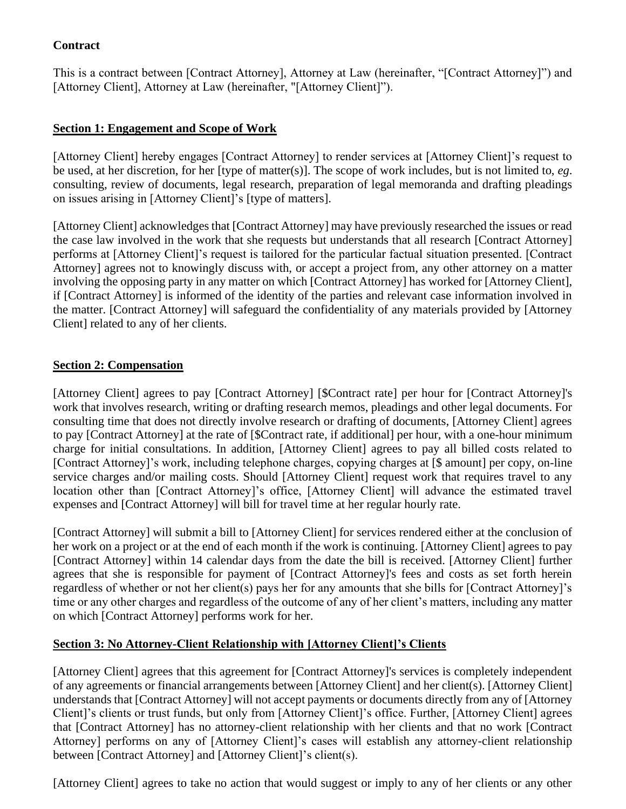# **Contract**

This is a contract between [Contract Attorney], Attorney at Law (hereinafter, "[Contract Attorney]") and [Attorney Client], Attorney at Law (hereinafter, "[Attorney Client]").

## **Section 1: Engagement and Scope of Work**

[Attorney Client] hereby engages [Contract Attorney] to render services at [Attorney Client]'s request to be used, at her discretion, for her [type of matter(s)]. The scope of work includes, but is not limited to, *eg*. consulting, review of documents, legal research, preparation of legal memoranda and drafting pleadings on issues arising in [Attorney Client]'s [type of matters].

[Attorney Client] acknowledges that [Contract Attorney] may have previously researched the issues or read the case law involved in the work that she requests but understands that all research [Contract Attorney] performs at [Attorney Client]'s request is tailored for the particular factual situation presented. [Contract Attorney] agrees not to knowingly discuss with, or accept a project from, any other attorney on a matter involving the opposing party in any matter on which [Contract Attorney] has worked for [Attorney Client], if [Contract Attorney] is informed of the identity of the parties and relevant case information involved in the matter. [Contract Attorney] will safeguard the confidentiality of any materials provided by [Attorney Client] related to any of her clients.

#### **Section 2: Compensation**

[Attorney Client] agrees to pay [Contract Attorney] [\$Contract rate] per hour for [Contract Attorney]'s work that involves research, writing or drafting research memos, pleadings and other legal documents. For consulting time that does not directly involve research or drafting of documents, [Attorney Client] agrees to pay [Contract Attorney] at the rate of [\$Contract rate, if additional] per hour, with a one-hour minimum charge for initial consultations. In addition, [Attorney Client] agrees to pay all billed costs related to [Contract Attorney]'s work, including telephone charges, copying charges at [\$ amount] per copy, on-line service charges and/or mailing costs. Should [Attorney Client] request work that requires travel to any location other than [Contract Attorney]'s office, [Attorney Client] will advance the estimated travel expenses and [Contract Attorney] will bill for travel time at her regular hourly rate.

[Contract Attorney] will submit a bill to [Attorney Client] for services rendered either at the conclusion of her work on a project or at the end of each month if the work is continuing. [Attorney Client] agrees to pay [Contract Attorney] within 14 calendar days from the date the bill is received. [Attorney Client] further agrees that she is responsible for payment of [Contract Attorney]'s fees and costs as set forth herein regardless of whether or not her client(s) pays her for any amounts that she bills for [Contract Attorney]'s time or any other charges and regardless of the outcome of any of her client's matters, including any matter on which [Contract Attorney] performs work for her.

#### **Section 3: No Attorney-Client Relationship with [Attorney Client]'s Clients**

[Attorney Client] agrees that this agreement for [Contract Attorney]'s services is completely independent of any agreements or financial arrangements between [Attorney Client] and her client(s). [Attorney Client] understands that [Contract Attorney] will not accept payments or documents directly from any of [Attorney Client]'s clients or trust funds, but only from [Attorney Client]'s office. Further, [Attorney Client] agrees that [Contract Attorney] has no attorney-client relationship with her clients and that no work [Contract Attorney] performs on any of [Attorney Client]'s cases will establish any attorney-client relationship between [Contract Attorney] and [Attorney Client]'s client(s).

[Attorney Client] agrees to take no action that would suggest or imply to any of her clients or any other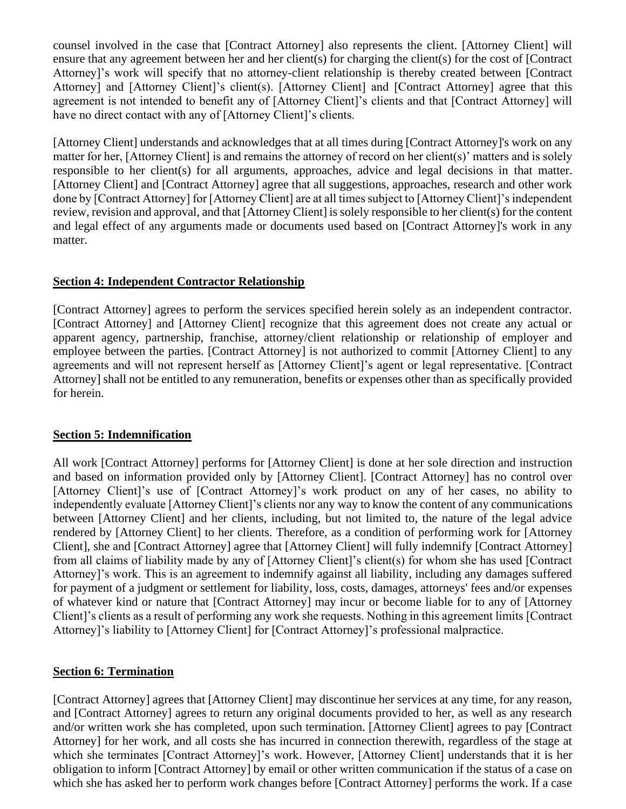counsel involved in the case that [Contract Attorney] also represents the client. [Attorney Client] will ensure that any agreement between her and her client(s) for charging the client(s) for the cost of [Contract Attorney]'s work will specify that no attorney-client relationship is thereby created between [Contract Attorney] and [Attorney Client]'s client(s). [Attorney Client] and [Contract Attorney] agree that this agreement is not intended to benefit any of [Attorney Client]'s clients and that [Contract Attorney] will have no direct contact with any of [Attorney Client]'s clients.

[Attorney Client] understands and acknowledges that at all times during [Contract Attorney]'s work on any matter for her, [Attorney Client] is and remains the attorney of record on her client(s)' matters and is solely responsible to her client(s) for all arguments, approaches, advice and legal decisions in that matter. [Attorney Client] and [Contract Attorney] agree that all suggestions, approaches, research and other work done by [Contract Attorney] for [Attorney Client] are at all times subject to [Attorney Client]'s independent review, revision and approval, and that [Attorney Client] is solely responsible to her client(s) for the content and legal effect of any arguments made or documents used based on [Contract Attorney]'s work in any matter.

## **Section 4: Independent Contractor Relationship**

[Contract Attorney] agrees to perform the services specified herein solely as an independent contractor. [Contract Attorney] and [Attorney Client] recognize that this agreement does not create any actual or apparent agency, partnership, franchise, attorney/client relationship or relationship of employer and employee between the parties. [Contract Attorney] is not authorized to commit [Attorney Client] to any agreements and will not represent herself as [Attorney Client]'s agent or legal representative. [Contract Attorney] shall not be entitled to any remuneration, benefits or expenses other than as specifically provided for herein.

## **Section 5: Indemnification**

All work [Contract Attorney] performs for [Attorney Client] is done at her sole direction and instruction and based on information provided only by [Attorney Client]. [Contract Attorney] has no control over [Attorney Client]'s use of [Contract Attorney]'s work product on any of her cases, no ability to independently evaluate [Attorney Client]'s clients nor any way to know the content of any communications between [Attorney Client] and her clients, including, but not limited to, the nature of the legal advice rendered by [Attorney Client] to her clients. Therefore, as a condition of performing work for [Attorney Client], she and [Contract Attorney] agree that [Attorney Client] will fully indemnify [Contract Attorney] from all claims of liability made by any of [Attorney Client]'s client(s) for whom she has used [Contract Attorney]'s work. This is an agreement to indemnify against all liability, including any damages suffered for payment of a judgment or settlement for liability, loss, costs, damages, attorneys' fees and/or expenses of whatever kind or nature that [Contract Attorney] may incur or become liable for to any of [Attorney Client]'s clients as a result of performing any work she requests. Nothing in this agreement limits [Contract Attorney]'s liability to [Attorney Client] for [Contract Attorney]'s professional malpractice.

## **Section 6: Termination**

[Contract Attorney] agrees that [Attorney Client] may discontinue her services at any time, for any reason, and [Contract Attorney] agrees to return any original documents provided to her, as well as any research and/or written work she has completed, upon such termination. [Attorney Client] agrees to pay [Contract Attorney] for her work, and all costs she has incurred in connection therewith, regardless of the stage at which she terminates [Contract Attorney]'s work. However, [Attorney Client] understands that it is her obligation to inform [Contract Attorney] by email or other written communication if the status of a case on which she has asked her to perform work changes before [Contract Attorney] performs the work. If a case